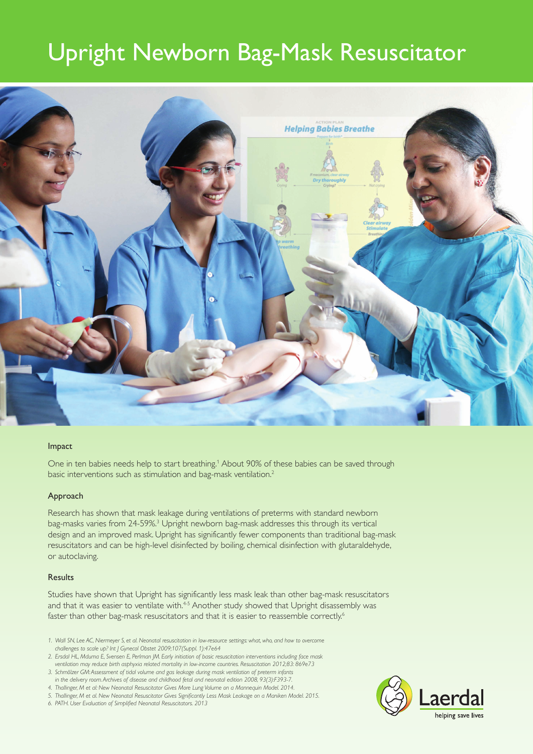# Upright Newborn Bag-Mask Resuscitator



#### Impact

One in ten babies needs help to start breathing.<sup>1</sup> About 90% of these babies can be saved through basic interventions such as stimulation and bag-mask ventilation.2

#### Approach

Research has shown that mask leakage during ventilations of preterms with standard newborn bag-masks varies from 24-59%.<sup>3</sup> Upright newborn bag-mask addresses this through its vertical design and an improved mask. Upright has significantly fewer components than traditional bag-mask resuscitators and can be high-level disinfected by boiling, chemical disinfection with glutaraldehyde, or autoclaving.

#### **Results**

Studies have shown that Upright has significantly less mask leak than other bag-mask resuscitators and that it was easier to ventilate with.<sup>4-5</sup> Another study showed that Upright disassembly was faster than other bag-mask resuscitators and that it is easier to reassemble correctly.<sup>6</sup>

- *1. Wall SN, Lee AC, Niermeyer S, et al. Neonatal resuscitation in low-resource settings: what, who, and how to overcome challenges to scale up? Int J Gynecol Obstet 2009;107(Suppl. 1):47e64*
- *2. Ersdal HL, Mduma E, Svensen E, Perlman JM. Early initiation of basic resuscitation interventions including face mask ventilation may reduce birth asphyxia related mortality in low-income countries. Resuscitation 2012;83: 869e73*
- *3. Schmölzer GM: Assessment of tidal volume and gas leakage during mask ventilation of preterm infants in the delivery room. Archives of disease and childhood fetal and neonatal edition 2008, 93(3):F393-7.*
- *4. Thallinger, M et al: New Neonatal Resuscitator Gives More Lung Volume on a Mannequin Model. 2014.*
- *5. Thallinger, M et al. New Neonatal Resuscitator Gives Significantly Less Mask Leakage on a Maniken Model. 2015.*
- *6. PATH. User Evaluation of Simplified Neonatal Resuscitators. 2013*